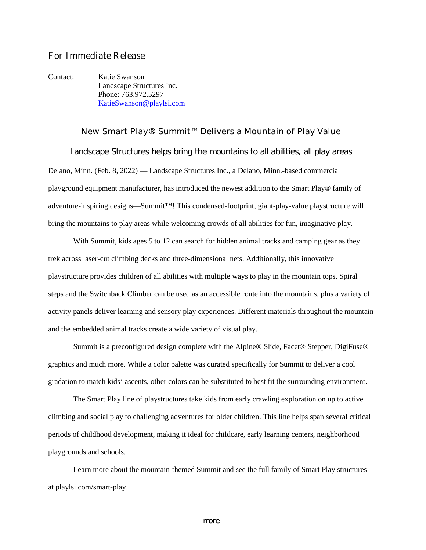## **For Immediate Release**

Contact: Katie Swanson Landscape Structures Inc. Phone: 763.972.5297 KatieSwanson@playlsi.com

**New Smart Play® Summit™ Delivers a Mountain of Play Value** Landscape Structures helps bring the mountains to all abilities, all play areas Delano, Minn. (Feb. 8, 2022) — Landscape Structures Inc., a Delano, Minn.-based commercial playground equipment manufacturer, has introduced the newest addition to the Smart Play® family of adventure-inspiring designs—Summit™! This condensed-footprint, giant-play-value playstructure will bring the mountains to play areas while welcoming crowds of all abilities for fun, imaginative play.

With Summit, kids ages 5 to 12 can search for hidden animal tracks and camping gear as they trek across laser-cut climbing decks and three-dimensional nets. Additionally, this innovative playstructure provides children of all abilities with multiple ways to play in the mountain tops. Spiral steps and the Switchback Climber can be used as an accessible route into the mountains, plus a variety of activity panels deliver learning and sensory play experiences. Different materials throughout the mountain and the embedded animal tracks create a wide variety of visual play.

Summit is a preconfigured design complete with the Alpine® Slide, Facet® Stepper, DigiFuse® graphics and much more. While a color palette was curated specifically for Summit to deliver a cool gradation to match kids' ascents, other colors can be substituted to best fit the surrounding environment.

The Smart Play line of playstructures take kids from early crawling exploration on up to active climbing and social play to challenging adventures for older children. This line helps span several critical periods of childhood development, making it ideal for childcare, early learning centers, neighborhood playgrounds and schools.

Learn more about the mountain-themed Summit and see the full family of Smart Play structures at playlsi.com/smart-play.